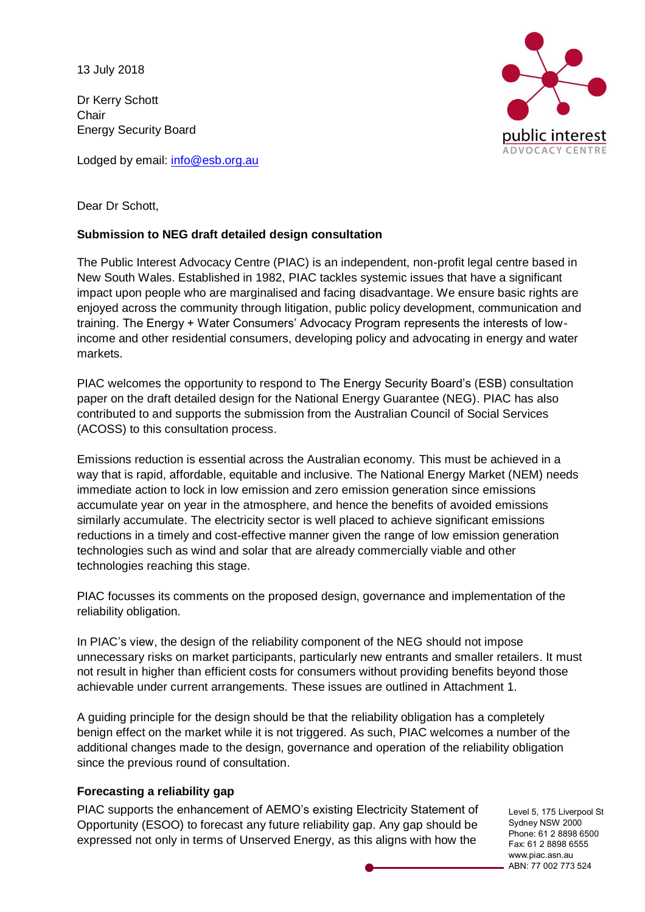13 July 2018

Dr Kerry Schott **Chair** Energy Security Board

Lodged by email: [info@esb.org.au](mailto:info@esb.org.au)



Dear Dr Schott,

### **Submission to NEG draft detailed design consultation**

The Public Interest Advocacy Centre (PIAC) is an independent, non-profit legal centre based in New South Wales. Established in 1982, PIAC tackles systemic issues that have a significant impact upon people who are marginalised and facing disadvantage. We ensure basic rights are enjoyed across the community through litigation, public policy development, communication and training. The Energy + Water Consumers' Advocacy Program represents the interests of lowincome and other residential consumers, developing policy and advocating in energy and water markets.

PIAC welcomes the opportunity to respond to The Energy Security Board's (ESB) consultation paper on the draft detailed design for the National Energy Guarantee (NEG). PIAC has also contributed to and supports the submission from the Australian Council of Social Services (ACOSS) to this consultation process.

Emissions reduction is essential across the Australian economy. This must be achieved in a way that is rapid, affordable, equitable and inclusive. The National Energy Market (NEM) needs immediate action to lock in low emission and zero emission generation since emissions accumulate year on year in the atmosphere, and hence the benefits of avoided emissions similarly accumulate. The electricity sector is well placed to achieve significant emissions reductions in a timely and cost-effective manner given the range of low emission generation technologies such as wind and solar that are already commercially viable and other technologies reaching this stage.

PIAC focusses its comments on the proposed design, governance and implementation of the reliability obligation.

In PIAC's view, the design of the reliability component of the NEG should not impose unnecessary risks on market participants, particularly new entrants and smaller retailers. It must not result in higher than efficient costs for consumers without providing benefits beyond those achievable under current arrangements. These issues are outlined in Attachment 1.

A guiding principle for the design should be that the reliability obligation has a completely benign effect on the market while it is not triggered. As such, PIAC welcomes a number of the additional changes made to the design, governance and operation of the reliability obligation since the previous round of consultation.

### **Forecasting a reliability gap**

PIAC supports the enhancement of AEMO's existing Electricity Statement of Opportunity (ESOO) to forecast any future reliability gap. Any gap should be expressed not only in terms of Unserved Energy, as this aligns with how the

Level 5, 175 Liverpool St Sydney NSW 2000 Phone: 61 2 8898 6500 Fax: 61 2 8898 6555 www.piac.asn.au ABN: 77 002 773 524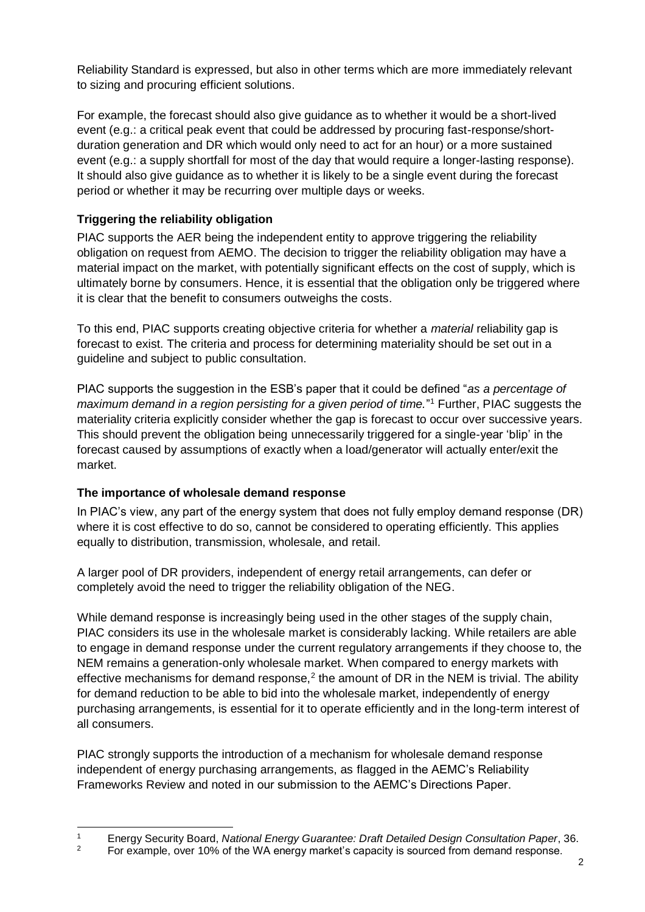Reliability Standard is expressed, but also in other terms which are more immediately relevant to sizing and procuring efficient solutions.

For example, the forecast should also give guidance as to whether it would be a short-lived event (e.g.: a critical peak event that could be addressed by procuring fast-response/shortduration generation and DR which would only need to act for an hour) or a more sustained event (e.g.: a supply shortfall for most of the day that would require a longer-lasting response). It should also give guidance as to whether it is likely to be a single event during the forecast period or whether it may be recurring over multiple days or weeks.

## **Triggering the reliability obligation**

PIAC supports the AER being the independent entity to approve triggering the reliability obligation on request from AEMO. The decision to trigger the reliability obligation may have a material impact on the market, with potentially significant effects on the cost of supply, which is ultimately borne by consumers. Hence, it is essential that the obligation only be triggered where it is clear that the benefit to consumers outweighs the costs.

To this end, PIAC supports creating objective criteria for whether a *material* reliability gap is forecast to exist. The criteria and process for determining materiality should be set out in a guideline and subject to public consultation.

PIAC supports the suggestion in the ESB's paper that it could be defined "*as a percentage of*  maximum demand in a region persisting for a given period of time."<sup>1</sup> Further, PIAC suggests the materiality criteria explicitly consider whether the gap is forecast to occur over successive years. This should prevent the obligation being unnecessarily triggered for a single-year 'blip' in the forecast caused by assumptions of exactly when a load/generator will actually enter/exit the market.

### **The importance of wholesale demand response**

In PIAC's view, any part of the energy system that does not fully employ demand response (DR) where it is cost effective to do so, cannot be considered to operating efficiently. This applies equally to distribution, transmission, wholesale, and retail.

A larger pool of DR providers, independent of energy retail arrangements, can defer or completely avoid the need to trigger the reliability obligation of the NEG.

While demand response is increasingly being used in the other stages of the supply chain, PIAC considers its use in the wholesale market is considerably lacking. While retailers are able to engage in demand response under the current regulatory arrangements if they choose to, the NEM remains a generation-only wholesale market. When compared to energy markets with effective mechanisms for demand response,<sup>2</sup> the amount of DR in the NEM is trivial. The ability for demand reduction to be able to bid into the wholesale market, independently of energy purchasing arrangements, is essential for it to operate efficiently and in the long-term interest of all consumers.

PIAC strongly supports the introduction of a mechanism for wholesale demand response independent of energy purchasing arrangements, as flagged in the AEMC's Reliability Frameworks Review and noted in our submission to the AEMC's Directions Paper.

 <sup>1</sup> Energy Security Board, *National Energy Guarantee: Draft Detailed Design Consultation Paper*, 36.<br>
Encomple over 10% of the WA energy market's canacity is sourced from demand response.

<sup>2</sup> For example, over 10% of the WA energy market's capacity is sourced from demand response.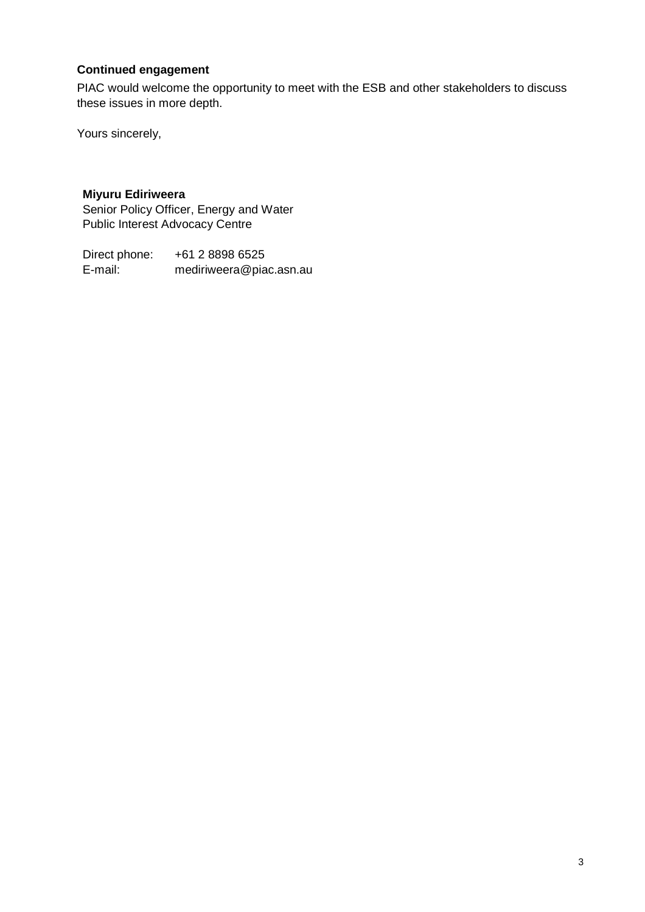# **Continued engagement**

PIAC would welcome the opportunity to meet with the ESB and other stakeholders to discuss these issues in more depth.

Yours sincerely,

## **Miyuru Ediriweera**

Senior Policy Officer, Energy and Water Public Interest Advocacy Centre

Direct phone: +61 2 8898 6525 E-mail: mediriweera@piac.asn.au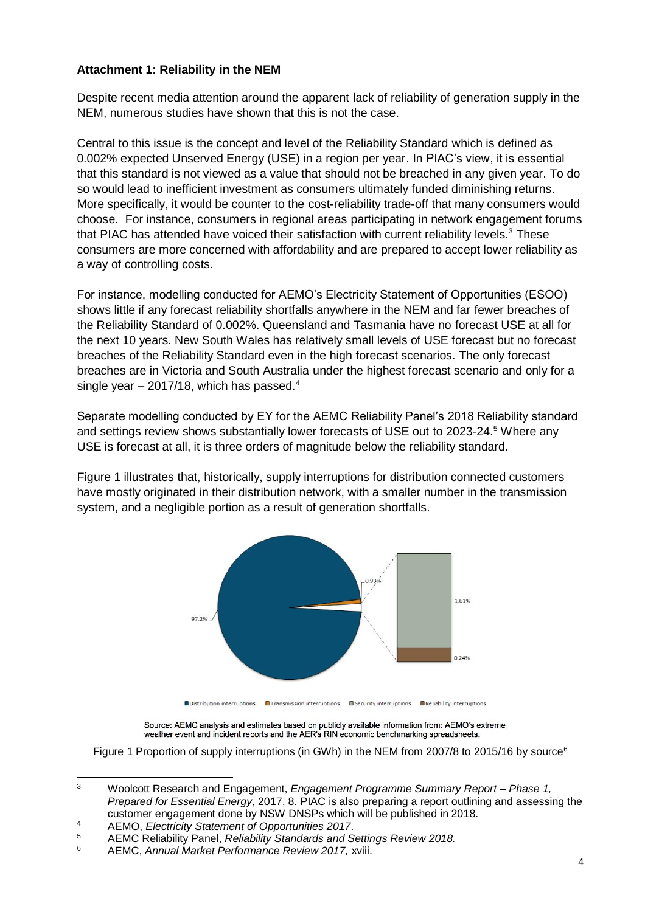#### **Attachment 1: Reliability in the NEM**

Despite recent media attention around the apparent lack of reliability of generation supply in the NEM, numerous studies have shown that this is not the case.

Central to this issue is the concept and level of the Reliability Standard which is defined as 0.002% expected Unserved Energy (USE) in a region per year. In PIAC's view, it is essential that this standard is not viewed as a value that should not be breached in any given year. To do so would lead to inefficient investment as consumers ultimately funded diminishing returns. More specifically, it would be counter to the cost-reliability trade-off that many consumers would choose. For instance, consumers in regional areas participating in network engagement forums that PIAC has attended have voiced their satisfaction with current reliability levels. $3$  These consumers are more concerned with affordability and are prepared to accept lower reliability as a way of controlling costs.

For instance, modelling conducted for AEMO's Electricity Statement of Opportunities (ESOO) shows little if any forecast reliability shortfalls anywhere in the NEM and far fewer breaches of the Reliability Standard of 0.002%. Queensland and Tasmania have no forecast USE at all for the next 10 years. New South Wales has relatively small levels of USE forecast but no forecast breaches of the Reliability Standard even in the high forecast scenarios. The only forecast breaches are in Victoria and South Australia under the highest forecast scenario and only for a single year  $-$  2017/18, which has passed.<sup>4</sup>

Separate modelling conducted by EY for the AEMC Reliability Panel's 2018 Reliability standard and settings review shows substantially lower forecasts of USE out to 2023-24.<sup>5</sup> Where any USE is forecast at all, it is three orders of magnitude below the reliability standard.

[Figure 1](#page-3-0) illustrates that, historically, supply interruptions for distribution connected customers have mostly originated in their distribution network, with a smaller number in the transmission system, and a negligible portion as a result of generation shortfalls.



Source: AEMC analysis and estimates based on publicly available information from: AEMO's extreme weather event and incident reports and the AER's RIN economic benchmarking spreadsheets.

<span id="page-3-0"></span>Figure 1 Proportion of supply interruptions (in GWh) in the NEM from 2007/8 to 2015/16 by source<sup>6</sup>

 $\overline{3}$ <sup>3</sup> Woolcott Research and Engagement, *Engagement Programme Summary Report – Phase 1, Prepared for Essential Energy*, 2017, 8. PIAC is also preparing a report outlining and assessing the customer engagement done by NSW DNSPs which will be published in 2018.

<sup>4</sup> AEMO, *Electricity Statement of Opportunities 2017*.

<sup>5</sup> AEMC Reliability Panel, *Reliability Standards and Settings Review 2018.*

<sup>6</sup> AEMC, *Annual Market Performance Review 2017,* xviii.